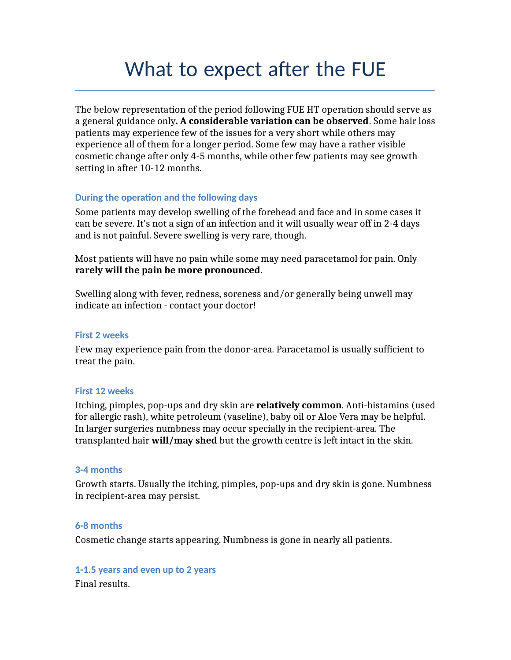# What to expect after the FUE

The below representation of the period following FUE HT operation should serve as a general guidance only**. A considerable variation can be observed**. Some hair loss patients may experience few of the issues for a very short while others may experience all of them for a longer period. Some few may have a rather visible cosmetic change after only 4-5 months, while other few patients may see growth setting in after 10-12 months.

# **During the operation and the following days**

Some patients may develop swelling of the forehead and face and in some cases it can be severe. It's not a sign of an infection and it will usually wear off in 2-4 days and is not painful. Severe swelling is very rare, though.

Most patients will have no pain while some may need paracetamol for pain. Only **rarely will the pain be more pronounced**.

Swelling along with fever, redness, soreness and/or generally being unwell may indicate an infection - contact your doctor!

#### **First 2 weeks**

Few may experience pain from the donor-area. Paracetamol is usually sufficient to treat the pain.

# **First 12 weeks**

Itching, pimples, pop-ups and dry skin are **relatively common**. Anti-histamins (used for allergic rash), white petroleum (vaseline), baby oil or Aloe Vera may be helpful. In larger surgeries numbness may occur specially in the recipient-area. The transplanted hair **will/may shed** but the growth centre is left intact in the skin.

# **3-4 months**

Growth starts. Usually the itching, pimples, pop-ups and dry skin is gone. Numbness in recipient-area may persist.

# **6-8 months**

Cosmetic change starts appearing. Numbness is gone in nearly all patients.

**1-1.5 years and even up to 2 years**

Final results.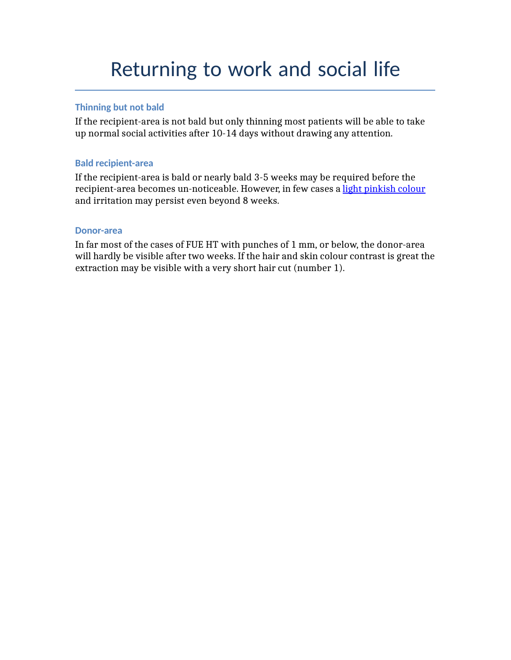# Returning to work and social life

# **Thinning but not bald**

If the recipient-area is not bald but only thinning most patients will be able to take up normal social activities after 10-14 days without drawing any attention.

# **Bald recipient-area**

If the recipient-area is bald or nearly bald 3-5 weeks may be required before the recipient-area becomes un-noticeable. However, in few cases a [light pinkish colour](http://www.myhairclinic.com/da/patient30-da.html) and irritation may persist even beyond 8 weeks.

# **Donor-area**

In far most of the cases of FUE HT with punches of 1 mm, or below, the donor-area will hardly be visible after two weeks. If the hair and skin colour contrast is great the extraction may be visible with a very short hair cut (number 1).